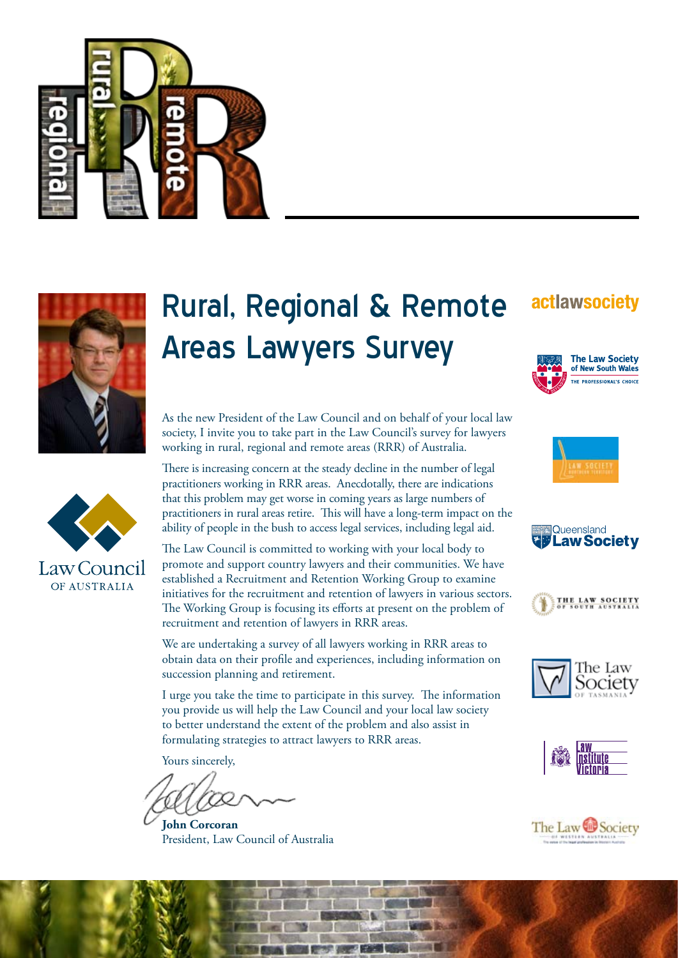



# Rural, Regional & Remote Areas Lawyers Survey

As the new President of the Law Council and on behalf of your local law society, I invite you to take part in the Law Council's survey for lawyers working in rural, regional and remote areas (RRR) of Australia.

There is increasing concern at the steady decline in the number of legal practitioners working in RRR areas. Anecdotally, there are indications that this problem may get worse in coming years as large numbers of practitioners in rural areas retire. This will have a long-term impact on the ability of people in the bush to access legal services, including legal aid.



The Law Council is committed to working with your local body to promote and support country lawyers and their communities. We have established a Recruitment and Retention Working Group to examine initiatives for the recruitment and retention of lawyers in various sectors. The Working Group is focusing its efforts at present on the problem of recruitment and retention of lawyers in RRR areas.

We are undertaking a survey of all lawyers working in RRR areas to obtain data on their profile and experiences, including information on succession planning and retirement.

I urge you take the time to participate in this survey. The information you provide us will help the Law Council and your local law society to better understand the extent of the problem and also assist in formulating strategies to attract lawyers to RRR areas.

Yours sincerely,

**John Corcoran** President, Law Council of Australia

## actlawsociety













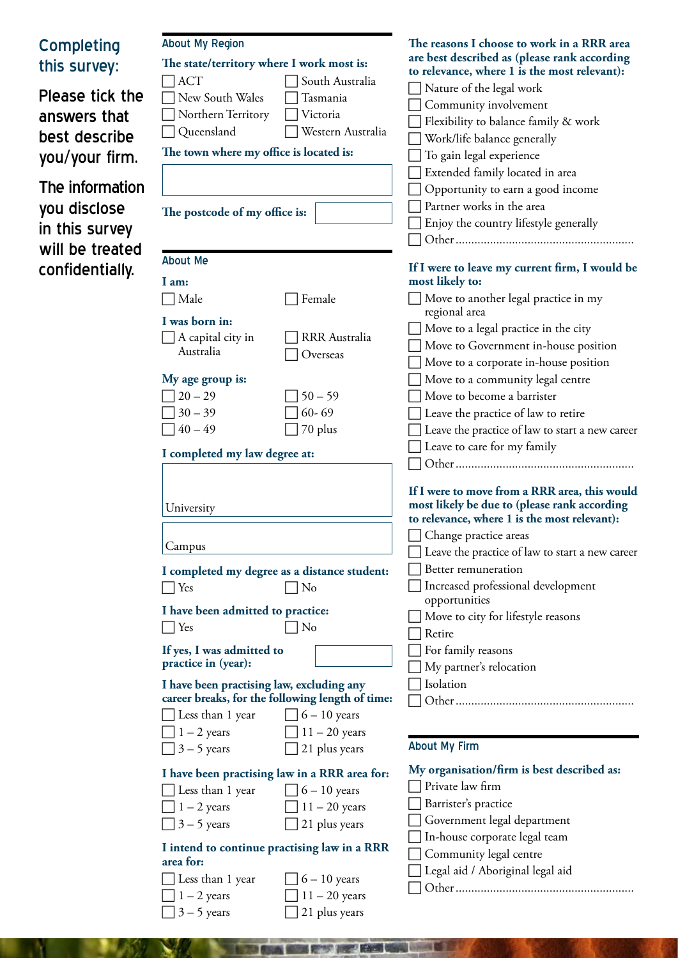| <b>Completing</b><br>this survey:<br>Please tick the<br>answers that<br>best describe<br>you/your firm.<br>The information<br>you disclose<br>in this survey | <b>About My Region</b><br>The state/territory where I work most is:<br><b>ACT</b><br>South Australia<br>New South Wales<br>Tasmania<br>Northern Territory<br>Victoria<br>Queensland<br>Western Australia<br>The town where my office is located is:<br>The postcode of my office is:                                                                                                                                                                                                               | The reasons I choose to work in a RRR area<br>are best described as (please rank according<br>to relevance, where 1 is the most relevant):<br>Nature of the legal work<br>Community involvement<br>Flexibility to balance family & work<br>Work/life balance generally<br>To gain legal experience<br>Extended family located in area<br>Opportunity to earn a good income<br>Partner works in the area<br>Enjoy the country lifestyle generally       |
|--------------------------------------------------------------------------------------------------------------------------------------------------------------|----------------------------------------------------------------------------------------------------------------------------------------------------------------------------------------------------------------------------------------------------------------------------------------------------------------------------------------------------------------------------------------------------------------------------------------------------------------------------------------------------|--------------------------------------------------------------------------------------------------------------------------------------------------------------------------------------------------------------------------------------------------------------------------------------------------------------------------------------------------------------------------------------------------------------------------------------------------------|
| will be treated<br>confidentially.                                                                                                                           | <b>About Me</b><br>I am:<br>Male<br>Female<br>I was born in:<br>A capital city in<br><b>RRR</b> Australia<br>Australia<br>Overseas<br>My age group is:<br>$20 - 29$<br>$50 - 59$<br>$30 - 39$<br>$60 - 69$<br>$40 - 49$<br>70 plus                                                                                                                                                                                                                                                                 | If I were to leave my current firm, I would be<br>most likely to:<br>Move to another legal practice in my<br>regional area<br>Move to a legal practice in the city<br>Move to Government in-house position<br>Move to a corporate in-house position<br>Move to a community legal centre<br>Move to become a barrister<br>Leave the practice of law to retire<br>Leave the practice of law to start a new career                                        |
|                                                                                                                                                              | I completed my law degree at:<br>University<br>Campus<br>I completed my degree as a distance student:<br>$\vert$ Yes<br>No<br>I have been admitted to practice:<br>$\vert$ Yes<br>No<br>If yes, I was admitted to<br>practice in (year):<br>I have been practising law, excluding any                                                                                                                                                                                                              | Leave to care for my family<br>If I were to move from a RRR area, this would<br>most likely be due to (please rank according<br>to relevance, where 1 is the most relevant):<br>□ Change practice areas<br>Leave the practice of law to start a new career<br>Better remuneration<br>Increased professional development<br>opportunities<br>Move to city for lifestyle reasons<br>Retire<br>For family reasons<br>My partner's relocation<br>Isolation |
|                                                                                                                                                              | career breaks, for the following length of time:<br>Less than 1 year<br>$6 - 10$ years<br>$1 - 2$ years<br>$11 - 20$ years<br>$3 - 5$ years<br>21 plus years<br>I have been practising law in a RRR area for:<br>Less than 1 year<br>$6 - 10$ years<br>$1 - 2$ years<br>$11 - 20$ years<br>$3 - 5$ years<br>21 plus years<br>I intend to continue practising law in a RRR<br>area for:<br>Less than 1 year<br>$6 - 10$ years<br>$1 - 2$ years<br>$11 - 20$ years<br>$3 - 5$ years<br>21 plus years | <b>About My Firm</b><br>My organisation/firm is best described as:<br>Private law firm<br>Barrister's practice<br>Government legal department<br>In-house corporate legal team<br>Community legal centre<br>Legal aid / Aboriginal legal aid                                                                                                                                                                                                           |

**BARTON AND KACK** 

ä 6

v.

٦

**SOLUTION OF**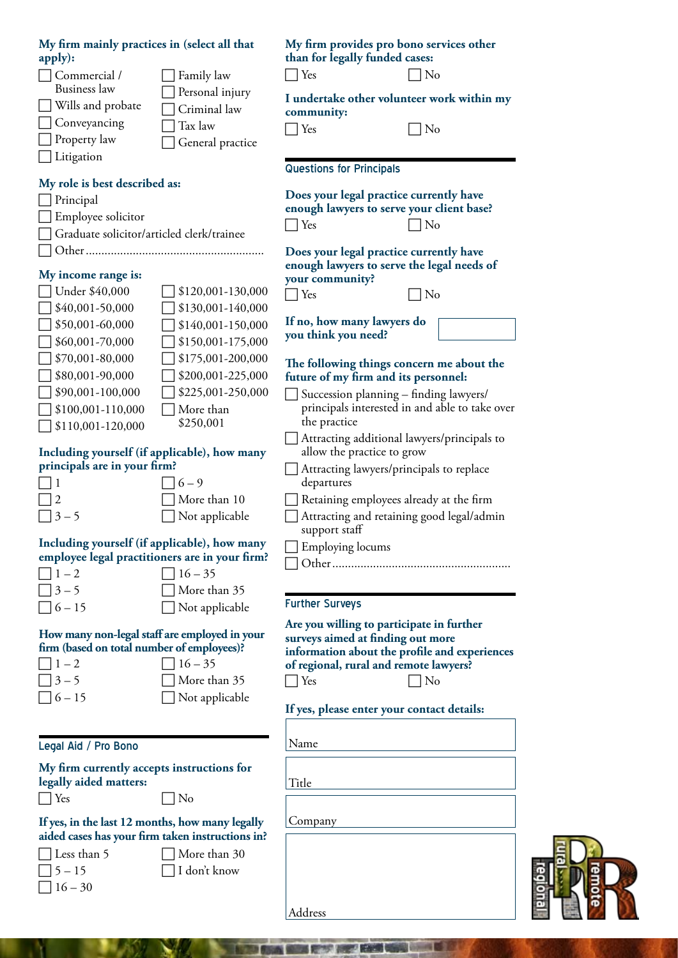| My firm mainly practices in (select all that                                 |                   | My firm provides pro bono services other<br>than for legally funded cases: |    |
|------------------------------------------------------------------------------|-------------------|----------------------------------------------------------------------------|----|
| apply):                                                                      |                   |                                                                            |    |
| Commercial /<br><b>Business</b> law                                          | Family law        | Yes                                                                        | No |
|                                                                              | Personal injury   | I undertake other volunteer work within my                                 |    |
| Wills and probate                                                            | Criminal law      | community:                                                                 |    |
| Conveyancing                                                                 | Tax law           | Yes                                                                        | No |
| Property law                                                                 | General practice  |                                                                            |    |
| Litigation                                                                   |                   |                                                                            |    |
| My role is best described as:                                                |                   | <b>Questions for Principals</b>                                            |    |
|                                                                              |                   | Does your legal practice currently have                                    |    |
| Principal                                                                    |                   | enough lawyers to serve your client base?                                  |    |
| Employee solicitor                                                           |                   | No<br>Yes                                                                  |    |
| Graduate solicitor/articled clerk/trainee                                    |                   |                                                                            |    |
|                                                                              |                   | Does your legal practice currently have                                    |    |
| My income range is:                                                          |                   | enough lawyers to serve the legal needs of<br>your community?              |    |
| Under \$40,000                                                               | \$120,001-130,000 | Yes<br>No                                                                  |    |
| \$40,001-50,000                                                              | \$130,001-140,000 |                                                                            |    |
| \$50,001-60,000                                                              | \$140,001-150,000 | If no, how many lawyers do                                                 |    |
| \$60,001-70,000                                                              | \$150,001-175,000 | you think you need?                                                        |    |
|                                                                              | \$175,001-200,000 |                                                                            |    |
| \$70,001-80,000                                                              |                   | The following things concern me about the                                  |    |
| \$80,001-90,000                                                              | \$200,001-225,000 | future of my firm and its personnel:                                       |    |
| \$90,001-100,000                                                             | \$225,001-250,000 | Succession planning - finding lawyers/                                     |    |
| \$100,001-110,000                                                            | More than         | principals interested in and able to take over                             |    |
| \$110,001-120,000                                                            | \$250,001         | the practice                                                               |    |
|                                                                              |                   | Attracting additional lawyers/principals to<br>allow the practice to grow  |    |
| Including yourself (if applicable), how many<br>principals are in your firm? |                   | Attracting lawyers/principals to replace                                   |    |
| 1                                                                            | $6 - 9$           | departures                                                                 |    |
| 2                                                                            | More than 10      | Retaining employees already at the firm                                    |    |
| $3 - 5$                                                                      | Not applicable    | Attracting and retaining good legal/admin                                  |    |
|                                                                              |                   | support staff                                                              |    |
| Including yourself (if applicable), how many                                 |                   | Employing locums                                                           |    |
| employee legal practitioners are in your firm?                               |                   |                                                                            |    |
| $1 - 2$                                                                      | $16 - 35$         |                                                                            |    |
| $3 - 5$                                                                      | More than 35      |                                                                            |    |
| $6 - 15$                                                                     | Not applicable    | <b>Further Surveys</b>                                                     |    |
|                                                                              |                   | Are you willing to participate in further                                  |    |
| How many non-legal staff are employed in your                                |                   | surveys aimed at finding out more                                          |    |
| firm (based on total number of employees)?                                   |                   | information about the profile and experiences                              |    |
| $1 - 2$                                                                      | $16 - 35$         | of regional, rural and remote lawyers?                                     |    |
| $3 - 5$                                                                      | More than 35      | Yes                                                                        | No |
| $6 - 15$                                                                     | Not applicable    |                                                                            |    |
|                                                                              |                   | If yes, please enter your contact details:                                 |    |
|                                                                              |                   |                                                                            |    |
| Legal Aid / Pro Bono                                                         |                   | Name                                                                       |    |
| My firm currently accepts instructions for                                   |                   |                                                                            |    |
| legally aided matters:                                                       |                   | Title                                                                      |    |
| Yes                                                                          | No                |                                                                            |    |
| If yes, in the last 12 months, how many legally                              |                   | Company                                                                    |    |
| aided cases has your firm taken instructions in?                             |                   |                                                                            |    |
| Less than 5                                                                  | More than 30      |                                                                            |    |
| $5 - 15$                                                                     | I don't know      |                                                                            |    |
| $16 - 30$                                                                    |                   |                                                                            |    |
|                                                                              |                   |                                                                            |    |

最

Address

66

n

THE REVOLUTION CONTINUES IN THE REAL